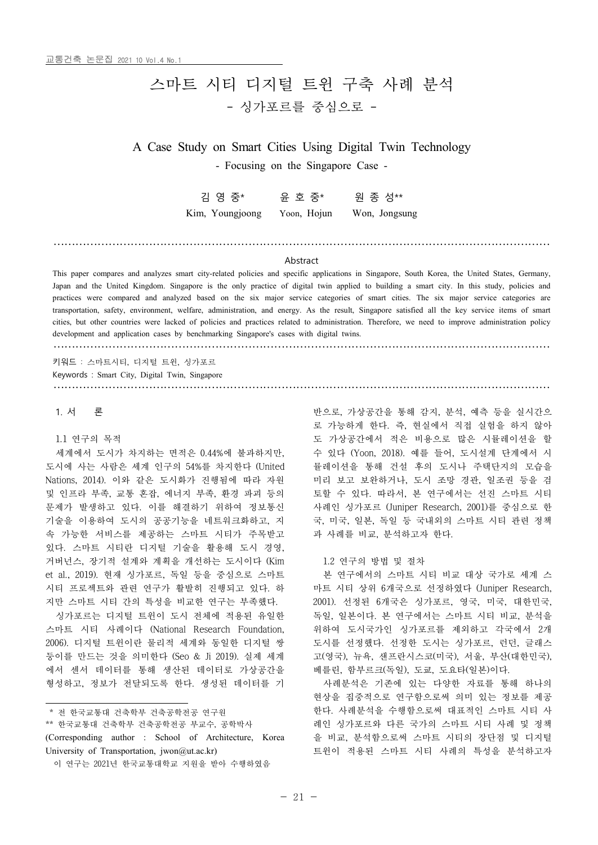# 스마트 시티 디지털 트윈 구축 사례 분석 - 싱가포르를 중심으로 -

A Case Study on Smart Cities Using Digital Twin Technology

- Focusing on the Singapore Case -

| 김 영 중*          | 윤 호 중*      | 원 종 성**       |  |
|-----------------|-------------|---------------|--|
| Kim, Youngjoong | Yoon, Hojun | Won, Jongsung |  |

# ……………………………………………………………………………………………………………………… Abstract

This paper compares and analyzes smart city-related policies and specific applications in Singapore, South Korea, the United States, Germany, Japan and the United Kingdom. Singapore is the only practice of digital twin applied to building a smart city. In this study, policies and practices were compared and analyzed based on the six major service categories of smart cities. The six major service categories are transportation, safety, environment, welfare, administration, and energy. As the result, cities, but other countries were lacked of policies and practices related to administration. Therefore, we need to improve administration policy development and application cases by benchmarking Singapore's cases with digital twins.

………………………………………………………………………………………………………………………

………………………………………………………………………………………………………………………

키워드 : 스마트시티, 디지털 트윈, 싱가포르

Keywords : Smart City, Digital Twin, Singapore

1. 서 론

1.1 연구의 목적

- 세계에서 도시가 차지하는 면적은 0.44%에 불과하지만,<br>도시에 사는 사람은 세계 인구의 54%를 차지한다 (United Nations, 2014). 이와 같은 도시화가 진행됨에 따라 자원 및 인프라 부족, 교통 혼잡, 에너지 부족, 환경 파괴 등의 문제가 발생하고 있다. 이를 해결하기 위하여 정보통신 기술을 이용하여 도시의 공공기능을 네트워크화하고, 지 속 가능한 서비스를 제공하는 스마트 시티가 주목받고 있다. 스마트 시티란 디지털 기술을 활용해 도시 경영,<br>거버넌스, 장기적 설계와 계획을 개선하는 도시이다 (Kim et al., 2019). 현재 싱가포르, 독일 등을 중심으로 스마트 시티 프로젝트와 관련 연구가 활발히 진행되고 있다. 하

스마트 시티 사례이다 (National Research Foundation, 2006). 디지털 트윈이란 물리적 세계와 동일한 디지털 쌍 둥이를 만드는 것을 의미한다 (Seo & Ji 2019). 실제 세계 에서 센서 데이터를 통해 생산된 데이터로 가상공간을 -- 베를린, 함부르크(독일), 도쿄, 도요타(일본)이다. 형성하고, 정보가 전달되도록 한다. 생성된 데이터를 기

\* 전 한국교통대 건축학부 건축공학전공 연구원

\*\* 한국교통대 건축학부 건축공학전공 부교수, 공학박사 (Corresponding author : School of Architecture, Korea University of Transportation, jwon@ut.ac.kr)

반으로, 가상공간을 통해 감지, 분석, 예측 등을 실시간으 로 가능하게 한다. 즉, 현실에서 직접 실험을 하지 않아 도 가상공간에서 적은 비용으로 많은 시뮬레이션을 할 수 있다 (Yoon, 2018). 예를 들어, 도시설계 단계에서 시 뮬레이션을 통해 건설 후의 도시나 주택단지의 모습을 미리 보고 보완하거나, 도시 조망 경관, 일조권 등을 검 토할 수 있다. 따라서, 본 연구에서는 선진 스마트 시티 사례인 싱가포르 (Juniper Research, 2001)를 중심으로 한 국, 미국, 일본, 독일 등 국내외의 스마트 시티 관련 정책 과 사례를 비교, 분석하고자 한다.

1.2 연구의 방법 및 절차

지만 스마트 시티 간의 특성을 비교한 연구는 부족했다. 2001). 선정된 6개국은 싱가포르, 영국, 미국, 대한민국,<br> 싱가포르는 디지털 트윈이 도시 전체에 적용된 유일한 독일, 일본이다. 본 연구에서는 스마트 시티 비교, 분석을 본 연구에서의 스마트 시티 비교 대상 국가로 세계 스 마트 시티 상위 6개국으로 선정하였다 (Juniper Research, 독일, 일본이다. 본 연구에서는 스마트 시티 비교, 분석을 위하여 도시국가인 싱가포르를 제외하고 각국에서 2개 도시를 선정했다. 선정한 도시는 싱가포르, 런던, 글래스 고(영국), 뉴욕, 샌프란시스코(미국), 서울, 부산(대한민국),

> 사례분석은 기존에 있는 다양한 자료를 통해 하나의 현상을 집중적으로 연구함으로써 의미 있는 정보를 제공 한다. 사례분석을 수행함으로써 대표적인 스마트 시티 사 례인 싱가포르와 다른 국가의 스마트 시티 사례 및 정책 을 비교, 분석함으로써 스마트 시티의 장단점 및 디지털 트윈이 적용된 스마트 시티 사례의 특성을 분석하고자

이 연구는 2021년 한국교통대학교 지원을 받아 수행하였음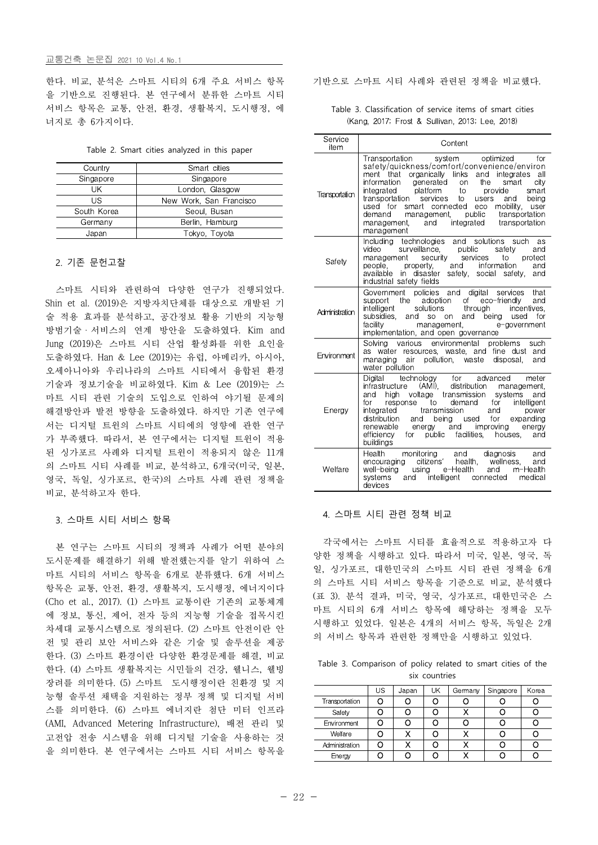## 교통건축 논문집 2021 10 Vol.4 No.1

한다. 비교, 분석은 스마트 시티의 6개 주요 서비스 항목 을 기반으로 진행된다. 본 연구에서 분류한 스마트 시티 서비스 항목은 교통, 안전, 환경, 생활복지, 도시행정, 에 너지로 총 6가지이다.

| Table 2. Smart cities analyzed in this paper |  |  |  |  |  |  |  |  |  |
|----------------------------------------------|--|--|--|--|--|--|--|--|--|
|----------------------------------------------|--|--|--|--|--|--|--|--|--|

| Country     | Smart cities            |  |  |
|-------------|-------------------------|--|--|
| Singapore   | Singapore               |  |  |
| UK.         | London, Glasgow         |  |  |
| US          | New Work, San Francisco |  |  |
| South Korea | Seoul, Busan            |  |  |
| Germany     | Berlin, Hamburg         |  |  |
| Japan       | Tokyo, Toyota           |  |  |

## 2. 기존 문헌고찰

스마트 시티와 관련하여 다양한 연구가 진행되었다. Shin et al. (2019)은 지방자치단체를 대상으로 개발된 기 술 적용 효과를 분석하고, 공간정보 활용 기반의 지능형 방범기술ㆍ서비스의 연계 방안을 도출하였다. Kim and Jung (2019)은 스마트 시티 산업 활성화를 위한 요인을 도출하였다. Han & Lee (2019)는 유럽, 아메리카, 아시아,<br>오세아니아와 우리나라의 스마트 시티에서 융합된 환경 기술과 정보기술을 비교하였다. Kim & Lee (2019)는 스 마트 시티 관련 기술의 도입으로 인하여 야기될 문제의 해결방안과 발전 방향을 도출하였다. 하지만 기존 연구에 서는 디지털 트윈의 스마트 시티에의 영향에 관한 연구 가 부족했다. 따라서, 본 연구에서는 디지털 트윈이 적용 된 싱가포르 사례와 디지털 트윈이 적용되지 않은 11개 의 스마트 시티 사례를 비교, 분석하고, 6개국(미국, 일본,<br>영국, 독일, 싱가포르, 한국)의 스마트 사례 관련 정책을 비교, 분석하고자 한다.

#### 3. 스마트 시티 서비스 항목

본 연구는 스마트 시티의 정책과 사례가 어떤 분야의 도시문제를 해결하기 위해 발전했는지를 알기 위하여 스 마트 시티의 서비스 항목을 6개로 분류했다. 6개 서비스 항목은 교통, 안전, 환경, 생활복지, 도시행정, 에너지이다 (Cho et al., 2017). (1) 스마트 교통이란 기존의 교통체계 에 정보, 통신, 제어, 전자 등의 지능형 기술을 접목시킨 차세대 교통시스템으로 정의된다. (2) 스마트 안전이란 안 전 및 관리 보안 서비스와 같은 기술 및 솔루션을 제공 한다. (3) 스마트 환경이란 다양한 환경문제를 해결, 비교 한다. (4) 스마트 생활복지는 시민들의 건강, 웰니스, 웰빙 장려를 의미한다. (5) 스마트 도시행정이란 친환경 및 지 능형 솔루션 채택을 지원하는 정부 정책 및 디지털 서비 스를 의미한다. (6) 스마트 에너지란 첨단 미터 인프라 (AMI, Advanced Metering Infrastructure), 배전 관리 및 고전압 전송 시스템을 위해 디지털 기술을 사용하는 것 을 의미한다. 본 연구에서는 스마트 시티 서비스 항목을

기반으로 스마트 시티 사례와 관련된 정책을 비교했다.

Table 3. Classification of service items of smart cities (Kang, 2017; Frost & Sullivan, 2013; Lee, 2018)

| Service<br>item | Content                                                                                                                                                                                                                                                                                                                                                                                                                                                                                                              |
|-----------------|----------------------------------------------------------------------------------------------------------------------------------------------------------------------------------------------------------------------------------------------------------------------------------------------------------------------------------------------------------------------------------------------------------------------------------------------------------------------------------------------------------------------|
| Transportation  | optimized<br>Transportation<br>system<br>for<br>safety/quickness/comfort/convenience/environ<br>ment that organically links<br>and integrates<br>all<br>information<br>generated<br>the<br><b>on</b><br>smart<br>city<br>integrated platform<br>to<br>provide<br>smart<br>transportation<br>services<br>to<br>being<br>users<br>and<br>used for<br>smart connected<br>mobility,<br>eco<br>user<br>public<br>demand<br>transportation<br>management,<br>integrated transportation<br>and<br>management,<br>management |
| Safety          | Including technologies and solutions such<br>as<br>surveillance,<br>video<br>public<br>safety<br>and<br>management security<br>services<br>to<br>protect<br>information<br>people. property. and<br>and<br>available in disaster<br>safety, social safety,<br>and<br>industrial safety fields                                                                                                                                                                                                                        |
| Administration  | policies and<br>digital<br>services<br>Government<br>that<br>adoption<br>of eco-friendly<br>the<br>and<br>support<br>intelligent<br>solutions<br>through<br>incentives.<br>subsidies.<br>and<br>and being used<br>for<br>SO.<br>on<br>facility<br>management,<br>e-government<br>implementation, and open governance                                                                                                                                                                                                 |
| Environment     | environmental<br>Solving various<br>problems<br>such<br>as water resources, waste, and fine dust and<br>pollution, waste<br>managing<br>disposal,<br>and<br>air<br>water pollution                                                                                                                                                                                                                                                                                                                                   |
| Energy          | technology for<br>Digital<br>advanced<br>meter<br>$(AMI)$ ,<br>distribution<br>infrastructure<br>management,<br>high voltage transmission<br>systems and<br>and<br>for<br>demand<br>for<br>intelligent<br>response to<br>transmission<br>integrated<br>and<br>power<br>distribution<br>and<br>being used for<br>expanding<br>energy and<br>improving<br>renewable<br>energy<br>facilities,<br>efficiency<br>for public<br>houses.<br>and<br>buildings                                                                |
| Welfare         | Health<br>monitoring and diagnosis<br>g citizens' health, wellness,<br>and<br>encouraging<br>and<br>using e-Health<br>well-being<br>and<br>m-Health<br>intelligent connected<br>systems<br>medical<br>and<br>devices                                                                                                                                                                                                                                                                                                 |

#### 4. 스마트 시티 관련 정책 비교

각국에서는 스마트 시티를 효율적으로 적용하고자 다 양한 정책을 시행하고 있다. 따라서 미국, 일본, 영국, 독 일, 싱가포르, 대한민국의 스마트 시티 관련 정책을 6개 의 스마트 시티 서비스 항목을 기준으로 비교, 분석했다 (표 3). 분석 결과, 미국, 영국, 싱가포르, 대한민국은 스 마트 시티의 6개 서비스 항목에 해당하는 정책을 모두 시행하고 있었다. 일본은 4개의 서비스 항목, 독일은 2개 의 서비스 항목과 관련한 정책만을 시행하고 있었다.

Table 3. Comparison of policy related to smart cities of the six countries

|                | US | Japan | UK | Germany | Singapore | Korea |
|----------------|----|-------|----|---------|-----------|-------|
| Transportation |    |       |    |         |           |       |
| Safety         |    |       |    |         |           |       |
| Environment    |    |       |    |         |           |       |
| Welfare        |    |       |    |         |           |       |
| Administration |    |       |    |         |           |       |
| Energy         |    |       |    |         |           |       |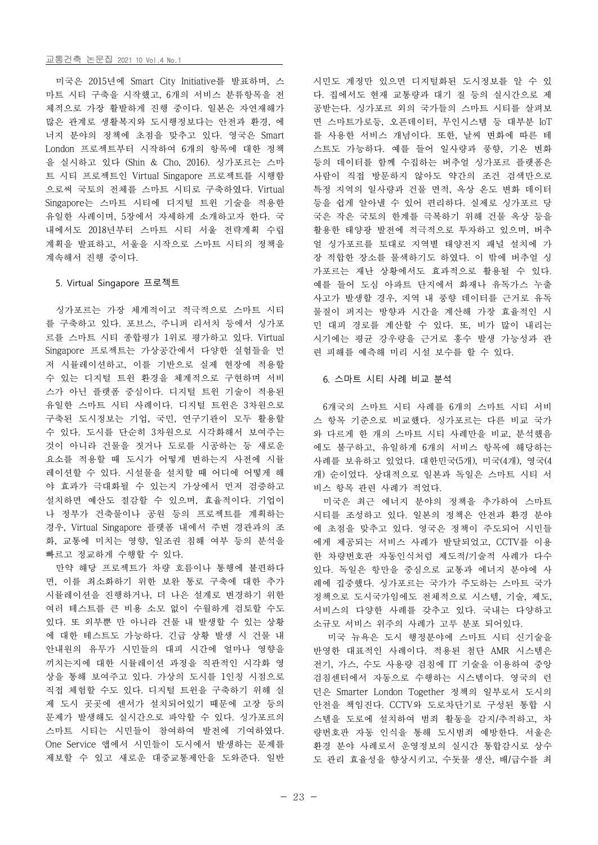#### 교통건축 논문집 2021 10 Vol.4 No.1

미국은 2015년에 Smart City Initiative를 발표하며, 스 마트 시티 구축을 시작했고, 6개의 서비스 분류항목을 전 체적으로 가장 활발하게 진행 중이다. 일본은 자연재해가 많은 관계로 생활복지와 도시행정보다는 안전과 환경, 에 너지 분야의 정책에 초점을 맞추고 있다. 영국은 Smart London 프로젝트부터 시작하여 6개의 항목에 대한 정책 을 실시하고 있다 (Shin & Cho, 2016). 싱가포르는 스마 트 시티 프로젝트인 Virtual Singapore 프로젝트를 시행함 으로써 국토의 전체를 스마트 시티로 구축하였다. Virtual Singapore는 스마트 시티에 디지털 트윈 기술을 적용한 유일한 사례이며, 5장에서 자세하게 소개하고자 한다. 국 내에서도 2018년부터 스마트 시티 서울 전략계획 수립 계획을 발표하고, 서울을 시작으로 스마트 시티의 정책을 계속해서 진행 중이다.

#### 5. Virtual Singapore 프로젝트

싱가포르는 가장 체계적이고 적극적으로 스마트 시티 를 구축하고 있다. 포브스, 주니퍼 리서치 등에서 싱가포 르를 스마트 시티 종합평가 1위로 평가하고 있다. Virtual Singapore 프로젝트는 가상공간에서 다양한 실험들을 먼 저 시뮬레이션하고, 이를 기반으로 실제 현장에 적용할 수 있는 디지털 트윈 환경을 체계적으로 구현하며 서비 스가 아닌 플랫폼 중심이다. 디지털 트윈 기술이 적용된 유일한 스마트 시티 사례이다. 디지털 트윈은 3차원으로 구축된 도시정보는 기업, 국민, 연구기관이 모두 활용할 수 있다. 도시를 단순히 3차원으로 시각화해서 보여주는 것이 아니라 건물을 짓거나 도로를 시공하는 등 새로운 요소를 적용할 때 도시가 어떻게 변하는지 사전에 시뮬 레이션할 수 있다. 시설물을 설치할 때 어디에 어떻게 해 야 효과가 극대화될 수 있는지 가상에서 먼저 검증하고 비스 항목 관련 사례가 적었다. 설치하면 예산도 절감할 수 있으며, 효율적이다. 기업이 나 정부가 건축물이나 공원 등의 프로젝트를 계획하는 경우, Virtual Singapore 플랫폼 내에서 주변 경관과의 조 화, 교통에 미치는 영향, 일조권 침해 여부 등의 분석을 빠르고 정교하게 수행할 수 있다.

만약 해당 프로젝트가 차량 흐름이나 통행에 불편하다 면, 이를 최소화하기 위한 보완 통로 구축에 대한 추가 시뮬레이션을 진행하거나, 더 나은 설계로 변경하기 위한 정책으로 도시국가임에도 전체적으로 시스템, 기술, 제도, 여러 테스트를 큰 비용 소모 없이 수월하게 검토할 수도 있다. 또 외부뿐 만 아니라 건물 내 발생할 수 있는 상황 에 대한 테스트도 가능하다. 긴급 상황 발생 시 건물 내 안내원의 유무가 시민들의 대피 시간에 얼마나 영향을 끼치는지에 대한 시뮬레이션 과정을 직관적인 시각화 영 상을 통해 보여주고 있다. 가상의 도시를 1인칭 시점으로 직접 체험할 수도 있다. 디지털 트윈을 구축하기 위해 실 제 도시 곳곳에 센서가 설치되어있기 때문에 고장 등의 문제가 발생해도 실시간으로 파악할 수 있다. 싱가포르의 스마트 시티는 시민들이 참여하여 발전에 기여하였다. One Service 앱에서 시민들이 도시에서 발생하는 문제를 제보할 수 있고 새로운 대중교통제안을 도와준다. 일반

시민도 계정만 있으면 디지털화된 도시정보를 알 수 있 다. 집에서도 현재 교통량과 대기 질 등의 실시간으로 제 공받는다. 싱가포르 외의 국가들의 스마트 시티를 살펴보 면 스마트가로등, 오픈데이터, 무인시스템 등 대부분 IoT 를 사용한 서비스 개념이다. 또한, 날씨 변화에 따른 테 스트도 가능하다. 예를 들어 일사량과 풍향, 기온 변화 등의 데이터를 함께 수집하는 버추얼 싱가포르 플랫폼은 사람이 직접 방문하지 않아도 약간의 조건 검색만으로 특정 지역의 일사량과 건물 면적, 옥상 온도 변화 데이터 등을 쉽게 알아낼 수 있어 편리하다. 실제로 싱가포르 당 국은 작은 국토의 한계를 극복하기 위해 건물 옥상 등을 활용한 태양광 발전에 적극적으로 투자하고 있으며, 버추 얼 싱가포르를 토대로 지역별 태양전지 패널 설치에 가 장 적합한 장소를 물색하기도 하였다. 이 밖에 버추얼 싱 가포르는 재난 상황에서도 효과적으로 활용될 수 있다.<br>예를 들어 도심 아파트 단지에서 화재나 유독가스 누출 사고가 발생할 경우, 지역 내 풍향 데이터를 근거로 유독 물질이 퍼지는 방향과 시간을 계산해 가장 효율적인 시 민 대피 경로를 계산할 수 있다. 또, 비가 많이 내리는 시기에는 평균 강우량을 근거로 홍수 발생 가능성과 관 련 피해를 예측해 미리 시설 보수를 할 수 있다.

#### 6. 스마트 시티 사례 비교 분석

6개국의 스마트 시티 사례를 6개의 스마트 시티 서비 스 항목 기준으로 비교했다. 싱가포르는 다른 비교 국가 와 다르게 한 개의 스마트 시티 사례만을 비교, 분석했음 에도 불구하고, 유일하게 6개의 서비스 항목에 해당하는 사례를 보유하고 있었다. 대한민국(5개), 미국(4개), 영국(4 개) 순이었다. 상대적으로 일본과 독일은 스마트 시티 서

미국은 최근 에너지 분야의 정책을 추가하여 스마트 시티를 조성하고 있다. 일본의 정책은 안전과 환경 분야 에 초점을 맞추고 있다. 영국은 정책이 주도되어 시민들 에게 제공되는 서비스 사례가 발달되었고, CCTV를 이용 한 차량번호판 자동인식처럼 제도적/기술적 사례가 다수 있다. 독일은 항만을 중심으로 교통과 에너지 분야에 사 례에 집중했다. 싱가포르는 국가가 주도하는 스마트 국가 서비스의 다양한 사례를 갖추고 있다. 국내는 다양하고 소규모 서비스 위주의 사례가 고루 분포 되어있다.

미국 뉴욕은 도시 행정분야에 스마트 시티 신기술을 반영한 대표적인 사례이다. 적용된 첨단 AMR 시스템은 전기, 가스, 수도 사용량 검침에 IT 기술을 이용하여 중앙 검침센터에서 자동으로 수행하는 시스템이다. 영국의 런 던은 Smarter London Together 정책의 일부로서 도시의 안전을 책임진다. CCTV와 도로차단기로 구성된 통합 시 스템을 도로에 설치하여 범죄 활동을 감지/추적하고, 차 량번호판 자동 인식을 통해 도시범죄 예방한다. 서울은 환경 분야 사례로서 운영정보의 실시간 통합감시로 상수 도 관리 효율성을 향상시키고, 수돗물 생산, 배/급수를 최